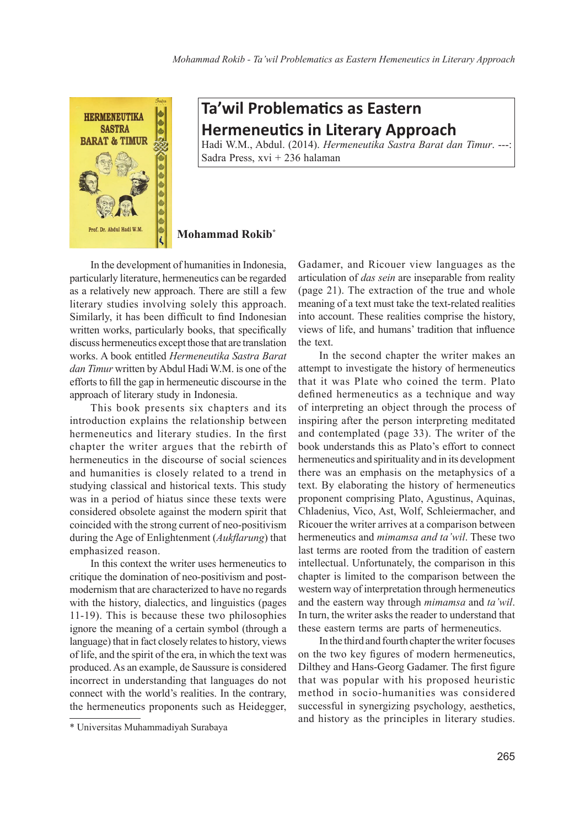

## **Ta'wil Problematics as Eastern Hermeneutics in Literary Approach**

Hadi W.M., Abdul. (2014). *Hermeneutika Sastra Barat dan Timur*. ---: Sadra Press, xvi + 236 halaman

## **Mohammad Rokib\***

In the development of humanities in Indonesia, particularly literature, hermeneutics can be regarded as a relatively new approach. There are still a few literary studies involving solely this approach. Similarly, it has been difficult to find Indonesian written works, particularly books, that specifically discuss hermeneutics except those that are translation works. A book entitled *Hermeneutika Sastra Barat dan Timur* written by Abdul Hadi W.M. is one of the efforts to fill the gap in hermeneutic discourse in the approach of literary study in Indonesia.

This book presents six chapters and its introduction explains the relationship between hermeneutics and literary studies. In the first chapter the writer argues that the rebirth of hermeneutics in the discourse of social sciences and humanities is closely related to a trend in studying classical and historical texts. This study was in a period of hiatus since these texts were considered obsolete against the modern spirit that coincided with the strong current of neo-positivism during the Age of Enlightenment (*Aukflarung*) that emphasized reason.

In this context the writer uses hermeneutics to critique the domination of neo-positivism and postmodernism that are characterized to have no regards with the history, dialectics, and linguistics (pages 11-19). This is because these two philosophies ignore the meaning of a certain symbol (through a language) that in fact closely relates to history, views of life, and the spirit of the era, in which the text was produced. As an example, de Saussure is considered incorrect in understanding that languages do not connect with the world's realities. In the contrary, the hermeneutics proponents such as Heidegger,

Gadamer, and Ricouer view languages as the articulation of *das sein* are inseparable from reality (page 21). The extraction of the true and whole meaning of a text must take the text-related realities into account. These realities comprise the history, views of life, and humans' tradition that influence the text.

In the second chapter the writer makes an attempt to investigate the history of hermeneutics that it was Plate who coined the term. Plato defined hermeneutics as a technique and way of interpreting an object through the process of inspiring after the person interpreting meditated and contemplated (page 33). The writer of the book understands this as Plato's effort to connect hermeneutics and spirituality and in its development there was an emphasis on the metaphysics of a text. By elaborating the history of hermeneutics proponent comprising Plato, Agustinus, Aquinas, Chladenius, Vico, Ast, Wolf, Schleiermacher, and Ricouer the writer arrives at a comparison between hermeneutics and *mimamsa and ta'wil*. These two last terms are rooted from the tradition of eastern intellectual. Unfortunately, the comparison in this chapter is limited to the comparison between the western way of interpretation through hermeneutics and the eastern way through *mimamsa* and *ta'wil*. In turn, the writer asks the reader to understand that these eastern terms are parts of hermeneutics.

In the third and fourth chapter the writer focuses on the two key figures of modern hermeneutics, Dilthey and Hans-Georg Gadamer. The first figure that was popular with his proposed heuristic method in socio-humanities was considered successful in synergizing psychology, aesthetics, and history as the principles in literary studies.

<sup>\*</sup> Universitas Muhammadiyah Surabaya